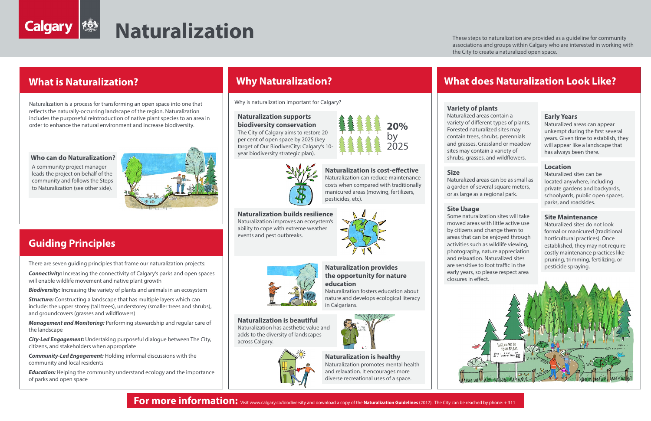### **Naturalization supports biodiversity conservation**

The City of Calgary aims to restore 20 per cent of open space by 2025 (key target of Our BiodiverCity: Calgary's 10-



## **Size**

Naturalized areas can be as small as a garden of several square meters, or as large as a regional park.

#### **Early Years**

Naturalized areas can appear unkempt during the first several years. Given time to establish, they will appear like a landscape that has always been there.

#### **Location**

Naturalized sites can be located anywhere, including private gardens and backyards, schoolyards, public open spaces, parks, and roadsides.

### **Variety of plants**

howed<br>by citize<br>areas that<br>activities<br>photogrand<br>and relax Some naturalization sites will take mowed areas with little active use by citizens and change them to areas that can be enjoyed through activities such as wildlife viewing, photography, nature appreciation and relaxation. Naturalized sites are sensitive to foot traffic in the early years, so please respect area closures in effect.



**For more information:** Visit www.calgary.ca/biodiversity and download a copy of the **Naturalization Guidelines** (2017). The City can be reached by phone: + 311

Naturalized areas contain a variety of different types of plants. Forested naturalized sites may contain trees, shrubs, perennials and grasses. Grassland or meadow sites may contain a variety of shrubs, grasses, and wildflowers.

#### **Site Maintenance**

Naturalized sites do not look formal or manicured (traditional horticultural practices). Once established, they may not require costly maintenance practices like pruning, trimming, fertilizing, or pesticide spraying.

## **Site Usage**

**Connectivity:** Increasing the connectivity of Calgary's parks and open spaces will enable wildlife movement and native plant growth

**Structure:** Constructing a landscape that has multiple layers which can include: the upper storey (tall trees), understorey (smaller trees and shrubs), and groundcovers (grasses and wildflowers)

#### **Naturalization is healthy**  Naturalization promotes mental health and relaxation. It encourages more diverse recreational uses of a space.

**Naturalization is cost-effective** Naturalization can reduce maintenance costs when compared with traditionally manicured areas (mowing, fertilizers, pesticides, etc).

*Education:* Helping the community understand ecology and the importance of parks and open space

### **Naturalization provides the opportunity for nature education**

Naturalization fosters education about nature and develops ecological literacy in Calgarians.



**Naturalization builds resilience** Naturalization improves an ecosystem's ability to cope with extreme weather events and pest outbreaks.



**Naturalization is beautiful** Naturalization has aesthetic value and adds to the diversity of landscapes

across Calgary.



Naturalization is a process for transforming an open space into one that reflects the naturally-occurring landscape of the region. Naturalization includes the purposeful reintroduction of native plant species to an area in order to enhance the natural environment and increase biodiversity.

These steps to naturalization are provided as a guideline for community associations and groups within Calgary who are interested in working with the City to create a naturalized open space.

Why is naturalization important for Calgary?

There are seven guiding principles that frame our naturalization projects:

*Biodiversity:* Increasing the variety of plants and animals in an ecosystem

*Management and Monitoring:* Performing stewardship and regular care of the landscape

*City-Led Engagement:* Undertaking purposeful dialogue between The City, citizens, and stakeholders when appropriate

*Community-Led Engagement:* Holding informal discussions with the community and local residents



# **Naturalization**

## **What is Naturalization? Why Naturalization? What does Naturalization Look Like?**

# **Guiding Principles**

A community project manager leads the project on behalf of the community and follows the Steps to Naturalization (see other side).